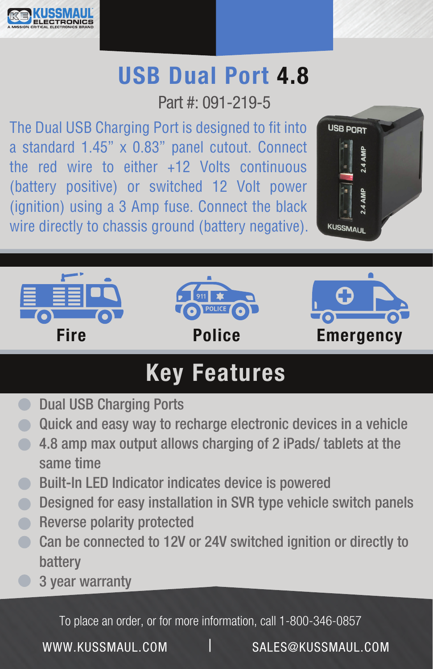

## USB Dual Port 4.8

Part #: 091-219-5

The Dual USB Charging Port is designed to fit into a standard 1.45" x 0.83" panel cutout. Connect the red wire to either +12 Volts continuous (battery positive) or switched 12 Volt power (ignition) using a 3 Amp fuse. Connect the black wire directly to chassis ground (battery negative).





## Key Features

- **C** Dual USB Charging Ports
- Quick and easy way to recharge electronic devices in a vehicle  $\qquad \qquad \blacksquare$
- **4.8 amp max output allows charging of 2 iPads/ tablets at the** same time
- **Built-In LED Indicator indicates device is powered**
- **O** Designed for easy installation in SVR type vehicle switch panels
- Reverse polarity protected
- Can be connected to 12V or 24V switched ignition or directly to battery
- 3 year warranty

To place an order, or for more information, call 1-800-346-0857

WWW.KUSSMAUL.COM SALES@KUSSMAUL.COM